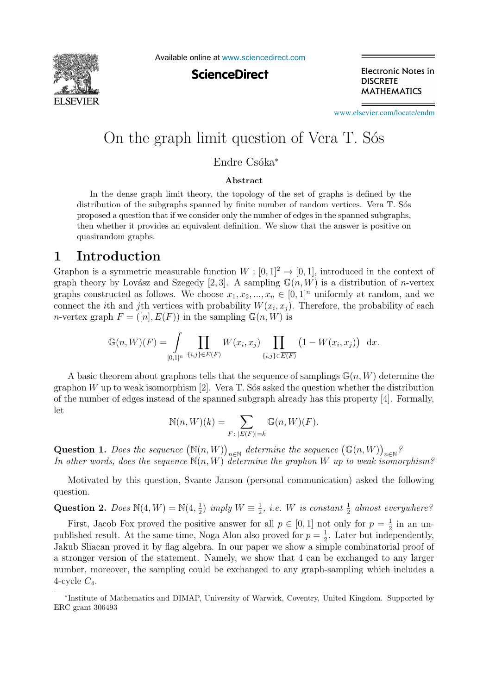

Available online at [www.sciencedirect.com](http://www.sciencedirect.com)

**ScienceDirect** 

Electronic Notes in **DISCRETE MATHEMATICS** 

[www.elsevier.com/locate/endm](http://www.elsevier.com/locate/endm)

# On the graph limit question of Vera T. S´os

Endre Csóka<sup>∗</sup>

#### **Abstract**

In the dense graph limit theory, the topology of the set of graphs is defined by the distribution of the subgraphs spanned by finite number of random vertices. Vera T. Sos proposed a question that if we consider only the number of edges in the spanned subgraphs, then whether it provides an equivalent definition. We show that the answer is positive on quasirandom graphs.

#### **1 Introduction**

Graphon is a symmetric measurable function  $W : [0, 1]^2 \to [0, 1]$ , introduced in the context of graph theory by Lovász and Szegedy [2, 3]. A sampling  $\mathbb{G}(n, W)$  is a distribution of *n*-vertex graphs constructed as follows. We choose  $x_1, x_2, ..., x_n \in [0, 1]^n$  uniformly at random, and we connect the *i*th and *j*th vertices with probability  $W(x_i, x_j)$ . Therefore, the probability of each n-vertex graph  $F = ([n], E(F))$  in the sampling  $\mathbb{G}(n, W)$  is

$$
\mathbb{G}(n, W)(F) = \int_{[0,1]^n} \prod_{\{i,j\} \in E(F)} W(x_i, x_j) \prod_{\{i,j\} \in \overline{E(F)}} \left(1 - W(x_i, x_j)\right) dx.
$$

A basic theorem about graphons tells that the sequence of samplings  $\mathbb{G}(n, W)$  determine the graphon  $W$  up to weak isomorphism [2]. Vera T. Sós asked the question whether the distribution of the number of edges instead of the spanned subgraph already has this property [4]. Formally, let

$$
\mathbb{N}(n, W)(k) = \sum_{F \colon |E(F)| = k} \mathbb{G}(n, W)(F).
$$

Question 1. Does the sequence  $(\mathbb{N}(n, W))_{n \in \mathbb{N}}$  determine the sequence  $(\mathbb{G}(n, W))_{n \in \mathbb{N}}$ ? In other words, does the sequence  $N(n, W)$  determine the graphon W up to weak isomorphism?

Motivated by this question, Svante Janson (personal communication) asked the following question.

Question 2. Does  $\mathbb{N}(4, W) = \mathbb{N}(4, \frac{1}{2})$  imply  $W \equiv \frac{1}{2}$ , i.e. W is constant  $\frac{1}{2}$  almost everywhere?

First, Jacob Fox proved the positive answer for all  $p \in [0, 1]$  not only for  $p = \frac{1}{2}$  in an unpublished result. At the same time, Noga Alon also proved for  $p = \frac{1}{2}$ . Later but independently, Jakub Sliacan proved it by flag algebra. In our paper we show a simple combinatorial proof of a stronger version of the statement. Namely, we show that 4 can be exchanged to any larger number, moreover, the sampling could be exchanged to any graph-sampling which includes a 4-cycle  $C_4$ .

<sup>∗</sup>Institute of Mathematics and DIMAP, University of Warwick, Coventry, United Kingdom. Supported by ERC grant 306493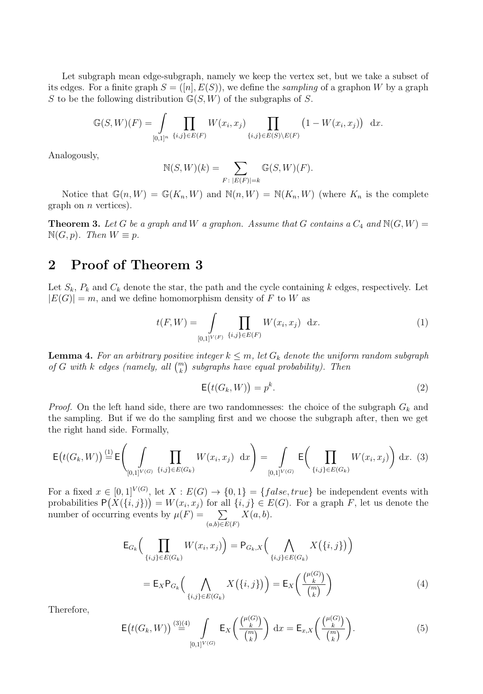Let subgraph mean edge-subgraph, namely we keep the vertex set, but we take a subset of its edges. For a finite graph  $S = ([n], E(S))$ , we define the *sampling* of a graphon W by a graph S to be the following distribution  $\mathbb{G}(S, W)$  of the subgraphs of S.

$$
\mathbb{G}(S,W)(F) = \int_{[0,1]^n} \prod_{\{i,j\} \in E(F)} W(x_i, x_j) \prod_{\{i,j\} \in E(S) \setminus E(F)} (1 - W(x_i, x_j)) dx.
$$

Analogously,

$$
\mathbb{N}(S,W)(k) = \sum_{F: \; |E(F)|=k} \mathbb{G}(S,W)(F).
$$

Notice that  $\mathbb{G}(n, W) = \mathbb{G}(K_n, W)$  and  $\mathbb{N}(n, W) = \mathbb{N}(K_n, W)$  (where  $K_n$  is the complete graph on  $n$  vertices).

**Theorem 3.** Let G be a graph and W a graphon. Assume that G contains a  $C_4$  and  $N(G, W)$  =  $\mathbb{N}(G, p)$ . Then  $W \equiv p$ .

# **2 Proof of Theorem 3**

Let  $S_k$ ,  $P_k$  and  $C_k$  denote the star, the path and the cycle containing k edges, respectively. Let  $|E(G)| = m$ , and we define homomorphism density of F to W as

$$
t(F, W) = \int_{[0,1]^{V(F)}} \prod_{\{i,j\} \in E(F)} W(x_i, x_j) dx.
$$
 (1)

**Lemma 4.** For an arbitrary positive integer  $k \leq m$ , let  $G_k$  denote the uniform random subgraph of G with k edges (namely, all  $\binom{m}{k}$  subgraphs have equal probability). Then

$$
\mathsf{E}\big(t(G_k, W)\big) = p^k. \tag{2}
$$

*Proof.* On the left hand side, there are two randomnesses: the choice of the subgraph  $G_k$  and the sampling. But if we do the sampling first and we choose the subgraph after, then we get the right hand side. Formally,

$$
\mathsf{E}\big(t(G_k, W)\big) \stackrel{\text{(1)}}{=} \mathsf{E}\Bigg(\int_{[0,1]^{V(G)}} \prod_{\{i,j\} \in E(G_k)} W(x_i, x_j) \, dx\Bigg) = \int_{[0,1]^{V(G)}} \mathsf{E}\Bigg(\prod_{\{i,j\} \in E(G_k)} W(x_i, x_j)\Bigg) \, dx. \tag{3}
$$

For a fixed  $x \in [0,1]^{V(G)}$ , let  $X : E(G) \to \{0,1\} = \{false, true\}$  be independent events with probabilities  $P(X(\{i,j\})) = W(x_i, x_j)$  for all  $\{i,j\} \in E(G)$ . For a graph F, let us denote the number of occurring events by  $\mu(F) = \sum$  $(a,b) \in E(F)$  $X(a, b)$ .

$$
\mathsf{E}_{G_k}\Big(\prod_{\{i,j\}\in E(G_k)} W(x_i, x_j)\Big) = \mathsf{P}_{G_k, X}\Big(\bigwedge_{\{i,j\}\in E(G_k)} X\big(\{i,j\}\big)\Big) \n= \mathsf{E}_X \mathsf{P}_{G_k}\Big(\bigwedge_{\{i,j\}\in E(G_k)} X\big(\{i,j\}\big)\Big) = \mathsf{E}_X\Big(\frac{\binom{\mu(G)}{k}}{\binom{m}{k}}\Big)
$$
\n(4)

Therefore,

$$
\mathsf{E}\big(t(G_k, W)\big) \stackrel{(3)(4)}{=} \int\limits_{[0,1]^{V(G)}} \mathsf{E}_X\bigg(\frac{\binom{\mu(G)}{k}}{\binom{m}{k}}\bigg) dx = \mathsf{E}_{x,X}\bigg(\frac{\binom{\mu(G)}{k}}{\binom{m}{k}}\bigg). \tag{5}
$$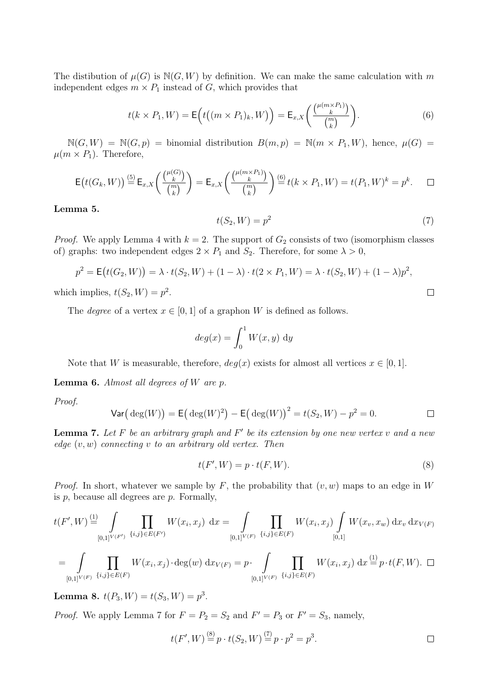The distibution of  $\mu(G)$  is  $N(G, W)$  by definition. We can make the same calculation with m independent edges  $m \times P_1$  instead of G, which provides that

$$
t(k \times P_1, W) = \mathsf{E}\Big(t\big((m \times P_1)_k, W\big)\Big) = \mathsf{E}_{x,X}\bigg(\frac{\mu_{m \times P_1}}{\binom{m}{k}}\bigg). \tag{6}
$$

 $\mathbb{N}(G, W) = \mathbb{N}(G, p)$  = binomial distribution  $B(m, p) = \mathbb{N}(m \times P_1, W)$ , hence,  $\mu(G)$  =  $\mu(m \times P_1)$ . Therefore,

$$
\mathsf{E}\big(t(G_k,W)\big) \stackrel{\text{(5)}}{=} \mathsf{E}_{x,X}\bigg(\frac{\binom{\mu(G)}{k}}{\binom{m}{k}}\bigg) = \mathsf{E}_{x,X}\bigg(\frac{\binom{\mu(m\times P_1)}{k}}{\binom{m}{k}}\bigg) \stackrel{\text{(6)}}{=} t(k\times P_1,W) = t(P_1,W)^k = p^k. \qquad \Box
$$

**Lemma 5.**

$$
t(S_2, W) = p^2 \tag{7}
$$

*Proof.* We apply Lemma 4 with  $k = 2$ . The support of  $G_2$  consists of two (isomorphism classes of) graphs: two independent edges  $2 \times P_1$  and  $S_2$ . Therefore, for some  $\lambda > 0$ ,

$$
p^2 = \mathsf{E}(t(G_2, W)) = \lambda \cdot t(S_2, W) + (1 - \lambda) \cdot t(2 \times P_1, W) = \lambda \cdot t(S_2, W) + (1 - \lambda)p^2,
$$

which implies,  $t(S_2, W) = p^2$ .

The *degree* of a vertex  $x \in [0,1]$  of a graphon W is defined as follows.

$$
deg(x) = \int_0^1 W(x, y) \, dy
$$

Note that W is measurable, therefore,  $deg(x)$  exists for almost all vertices  $x \in [0,1]$ .

**Lemma 6.** Almost all degrees of W are p.

Proof.

$$
\text{Var}(\deg(W)) = \mathsf{E}(\deg(W)^2) - \mathsf{E}(\deg(W))^2 = t(S_2, W) - p^2 = 0.
$$

**Lemma 7.** Let F be an arbitrary graph and F' be its extension by one new vertex v and a new edge  $(v, w)$  connecting v to an arbitrary old vertex. Then

$$
t(F', W) = p \cdot t(F, W). \tag{8}
$$

*Proof.* In short, whatever we sample by F, the probability that  $(v, w)$  maps to an edge in W is  $p$ , because all degrees are  $p$ . Formally,

$$
t(F', W) \stackrel{\text{(1)}}{=} \int \prod_{[0,1]^{V(F')}} \prod_{\{i,j\} \in E(F')} W(x_i, x_j) \, dx = \int \prod_{[0,1]^{V(F)}} \prod_{\{i,j\} \in E(F)} W(x_i, x_j) \int \limits_{[0,1]} W(x_v, x_w) \, dx_v \, dx_{V(F)}
$$

$$
= \int \prod_{[0,1]^{V(F)}} \prod_{\{i,j\} \in E(F)} W(x_i, x_j) \cdot \deg(w) \, dx_{V(F)} = p \cdot \int \prod_{[0,1]^{V(F)}} \prod_{\{i,j\} \in E(F)} W(x_i, x_j) \, dx \stackrel{\text{(1)}}{=} p \cdot t(F, W). \quad \Box
$$

**Lemma 8.**  $t(P_3, W) = t(S_3, W) = p^3$ .

*Proof.* We apply Lemma 7 for  $F = P_2 = S_2$  and  $F' = P_3$  or  $F' = S_3$ , namely,

$$
t(F', W) \stackrel{(8)}{=} p \cdot t(S_2, W) \stackrel{(7)}{=} p \cdot p^2 = p^3.
$$

 $\Box$